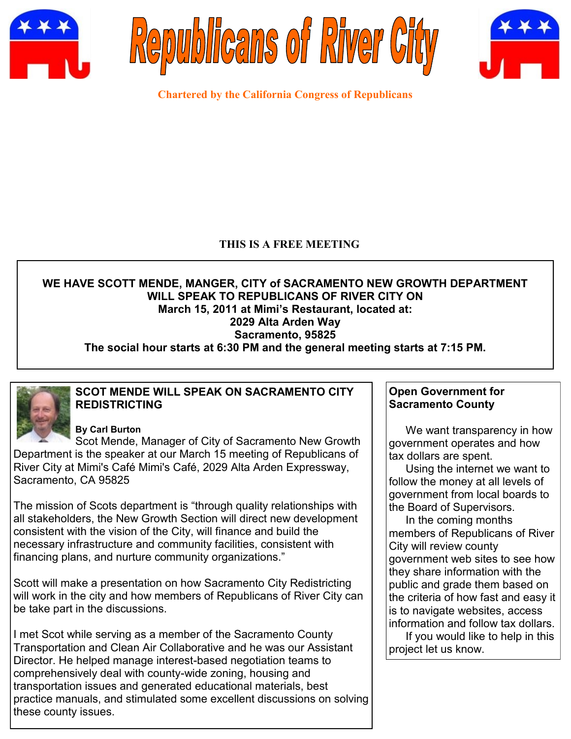





**Chartered by the California Congress of Republicans**

# **THIS IS A FREE MEETING**

#### **WE HAVE SCOTT MENDE, MANGER, CITY of SACRAMENTO NEW GROWTH DEPARTMENT WILL SPEAK TO REPUBLICANS OF RIVER CITY ON March 15, 2011 at Mimi's Restaurant, located at: 2029 Alta Arden Way Sacramento, 95825 The social hour starts at 6:30 PM and the general meeting starts at 7:15 PM.**



#### **SCOT MENDE WILL SPEAK ON SACRAMENTO CITY REDISTRICTING**

## **By Carl Burton**

Scot Mende, Manager of City of Sacramento New Growth Department is the speaker at our March 15 meeting of Republicans of River City at Mimi's Café Mimi's Café, 2029 Alta Arden Expressway, Sacramento, CA 95825

The mission of Scots department is "through quality relationships with all stakeholders, the New Growth Section will direct new development consistent with the vision of the City, will finance and build the necessary infrastructure and community facilities, consistent with financing plans, and nurture community organizations."

Scott will make a presentation on how Sacramento City Redistricting will work in the city and how members of Republicans of River City can be take part in the discussions.

I met Scot while serving as a member of the Sacramento County Transportation and Clean Air Collaborative and he was our Assistant Director. He helped manage interest-based negotiation teams to comprehensively deal with county-wide zoning, housing and transportation issues and generated educational materials, best practice manuals, and stimulated some excellent discussions on solving these county issues.

# **Open Government for Sacramento County**

We want transparency in how government operates and how tax dollars are spent.

Using the internet we want to follow the money at all levels of government from local boards to the Board of Supervisors.

In the coming months members of Republicans of River City will review county government web sites to see how they share information with the public and grade them based on the criteria of how fast and easy it is to navigate websites, access information and follow tax dollars.

If you would like to help in this project let us know.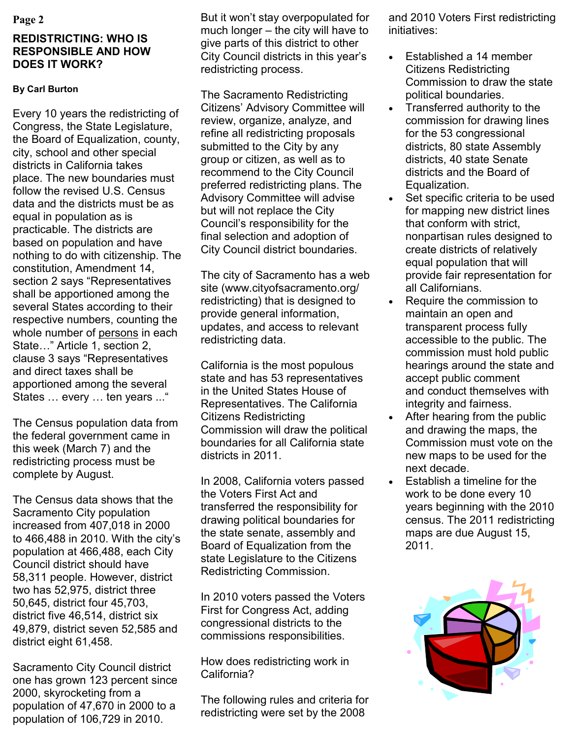## **REDISTRICTING: WHO IS RESPONSIBLE AND HOW DOES IT WORK?**

#### **By Carl Burton**

Every 10 years the redistricting of Congress, the State Legislature, the Board of Equalization, county, city, school and other special districts in California takes place. The new boundaries must follow the revised U.S. Census data and the districts must be as equal in population as is practicable. The districts are based on population and have nothing to do with citizenship. The constitution, Amendment 14, section 2 says "Representatives shall be apportioned among the several States according to their respective numbers, counting the whole number of persons in each State…" Article 1, section 2, clause 3 says "Representatives and direct taxes shall be apportioned among the several States … every … ten years ..."

The Census population data from the federal government came in this week (March 7) and the redistricting process must be complete by August.

The Census data shows that the Sacramento City population increased from 407,018 in 2000 to 466,488 in 2010. With the city's population at 466,488, each City Council district should have 58,311 people. However, district two has 52,975, district three 50,645, district four 45,703, district five 46,514, district six 49,879, district seven 52,585 and district eight 61,458.

Sacramento City Council district one has grown 123 percent since 2000, skyrocketing from a population of 47,670 in 2000 to a population of 106,729 in 2010.

**Page 2** and 2010 Voters First redistricting But it won't stay overpopulated for and 2010 Voters First redistricting much longer – the city will have to give parts of this district to other City Council districts in this year's redistricting process.

> The Sacramento Redistricting Citizens' Advisory Committee will review, organize, analyze, and refine all redistricting proposals submitted to the City by any group or citizen, as well as to recommend to the City Council preferred redistricting plans. The Advisory Committee will advise but will not replace the City Council's responsibility for the final selection and adoption of City Council district boundaries.

The city of Sacramento has a web site (www.cityofsacramento.org/ redistricting) that is designed to provide general information, updates, and access to relevant redistricting data.

California is the most populous state and has 53 representatives in the United States House of Representatives. The California Citizens Redistricting Commission will draw the political boundaries for all California state districts in 2011.

In 2008, California voters passed the Voters First Act and transferred the responsibility for drawing political boundaries for the state senate, assembly and Board of Equalization from the state Legislature to the Citizens Redistricting Commission.

In 2010 voters passed the Voters First for Congress Act, adding congressional districts to the commissions responsibilities.

How does redistricting work in California?

The following rules and criteria for redistricting were set by the 2008

initiatives:

- Established a 14 member Citizens Redistricting Commission to draw the state political boundaries.
- Transferred authority to the commission for drawing lines for the 53 congressional districts, 80 state Assembly districts, 40 state Senate districts and the Board of Equalization.
- Set specific criteria to be used for mapping new district lines that conform with strict, nonpartisan rules designed to create districts of relatively equal population that will provide fair representation for all Californians.
- Require the commission to maintain an open and transparent process fully accessible to the public. The commission must hold public hearings around the state and accept public comment and conduct themselves with integrity and fairness.
- After hearing from the public and drawing the maps, the Commission must vote on the new maps to be used for the next decade.
- Establish a timeline for the work to be done every 10 years beginning with the 2010 census. The 2011 redistricting maps are due August 15, 2011.

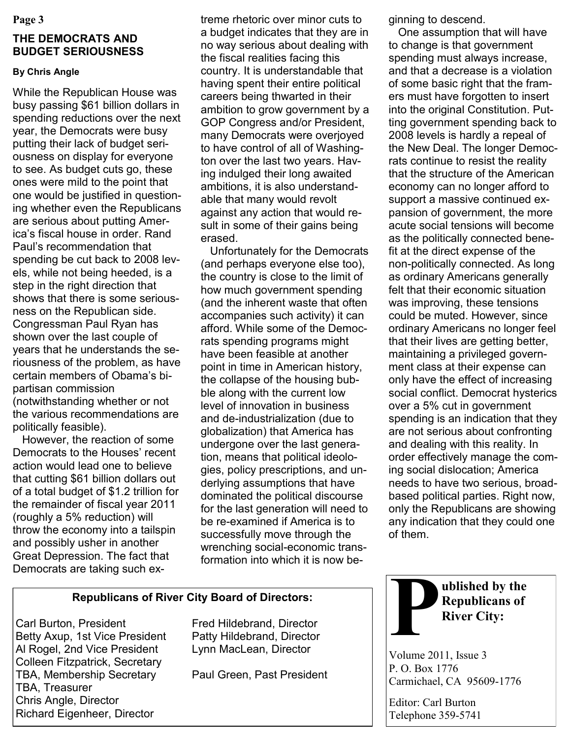**Page 3**

# **THE DEMOCRATS AND BUDGET SERIOUSNESS**

## **By Chris Angle**

While the Republican House was busy passing \$61 billion dollars in spending reductions over the next year, the Democrats were busy putting their lack of budget seriousness on display for everyone to see. As budget cuts go, these ones were mild to the point that one would be justified in questioning whether even the Republicans are serious about putting America's fiscal house in order. Rand Paul's recommendation that spending be cut back to 2008 levels, while not being heeded, is a step in the right direction that shows that there is some seriousness on the Republican side. Congressman Paul Ryan has shown over the last couple of years that he understands the seriousness of the problem, as have certain members of Obama's bipartisan commission (notwithstanding whether or not the various recommendations are politically feasible).

 However, the reaction of some Democrats to the Houses' recent action would lead one to believe that cutting \$61 billion dollars out of a total budget of \$1.2 trillion for the remainder of fiscal year 2011 (roughly a 5% reduction) will throw the economy into a tailspin and possibly usher in another Great Depression. The fact that Democrats are taking such extreme rhetoric over minor cuts to a budget indicates that they are in no way serious about dealing with the fiscal realities facing this country. It is understandable that having spent their entire political careers being thwarted in their ambition to grow government by a GOP Congress and/or President, many Democrats were overjoyed to have control of all of Washington over the last two years. Having indulged their long awaited ambitions, it is also understandable that many would revolt against any action that would result in some of their gains being erased.

 Unfortunately for the Democrats (and perhaps everyone else too), the country is close to the limit of how much government spending (and the inherent waste that often accompanies such activity) it can afford. While some of the Democrats spending programs might have been feasible at another point in time in American history, the collapse of the housing bubble along with the current low level of innovation in business and de-industrialization (due to globalization) that America has undergone over the last generation, means that political ideologies, policy prescriptions, and underlying assumptions that have dominated the political discourse for the last generation will need to be re-examined if America is to successfully move through the wrenching social-economic transformation into which it is now beginning to descend.

 One assumption that will have to change is that government spending must always increase, and that a decrease is a violation of some basic right that the framers must have forgotten to insert into the original Constitution. Putting government spending back to 2008 levels is hardly a repeal of the New Deal. The longer Democrats continue to resist the reality that the structure of the American economy can no longer afford to support a massive continued expansion of government, the more acute social tensions will become as the politically connected benefit at the direct expense of the non-politically connected. As long as ordinary Americans generally felt that their economic situation was improving, these tensions could be muted. However, since ordinary Americans no longer feel that their lives are getting better, maintaining a privileged government class at their expense can only have the effect of increasing social conflict. Democrat hysterics over a 5% cut in government spending is an indication that they are not serious about confronting and dealing with this reality. In order effectively manage the coming social dislocation; America needs to have two serious, broadbased political parties. Right now, only the Republicans are showing any indication that they could one of them.

# **Republicans of River City Board of Directors:**

Carl Burton, President Fred Hildebrand, Director Betty Axup, 1st Vice President Patty Hildebrand, Director Al Rogel, 2nd Vice President Lynn MacLean, Director Colleen Fitzpatrick, Secretary TBA, Membership Secretary Paul Green, Past President TBA, Treasurer Chris Angle, Director Richard Eigenheer, Director



Volume 2011, Issue 3 P. O. Box 1776 Carmichael, CA 95609-1776

Editor: Carl Burton Telephone 359-5741